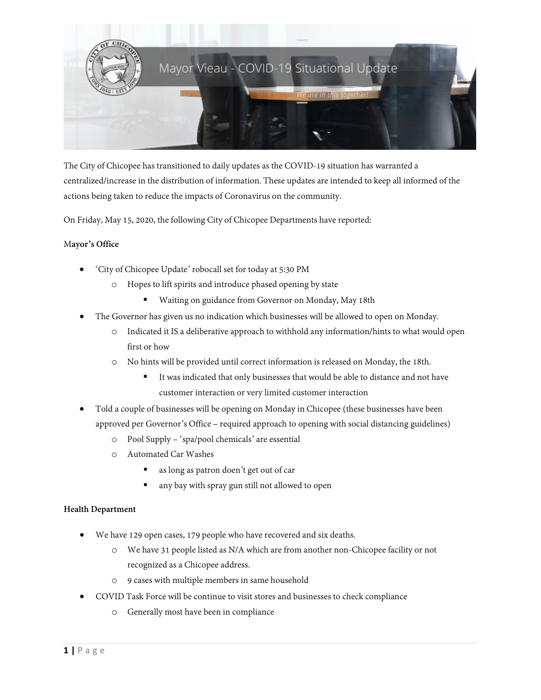

The City of Chicopee has transitioned to daily updates as the COVID-19 situation has warranted a centralized/increase in the distribution of information. These updates are intended to keep all informed of the actions being taken to reduce the impacts of Coronavirus on the community.

On Friday, May 15, 2020, the following City of Chicopee Departments have reported:

# M**ayor's Office**

- 'City of Chicopee Update' robocall set for today at 5:30 PM
	- o Hopes to lift spirits and introduce phased opening by state
		- Waiting on guidance from Governor on Monday, May 18th
- The Governor has given us no indication which businesses will be allowed to open on Monday.
	- o Indicated it IS a deliberative approach to withhold any information/hints to what would open first or how
	- o No hints will be provided until correct information is released on Monday, the 18th.
		- It was indicated that only businesses that would be able to distance and not have customer interaction or very limited customer interaction
- Told a couple of businesses will be opening on Monday in Chicopee (these businesses have been approved per Governor's Office – required approach to opening with social distancing guidelines)
	- o Pool Supply 'spa/pool chemicals' are essential
	- o Automated Car Washes
		- as long as patron doen't get out of car
		- any bay with spray gun still not allowed to open

#### **Health Department**

- We have 129 open cases, 179 people who have recovered and six deaths.
	- o We have 31 people listed as N/A which are from another non-Chicopee facility or not recognized as a Chicopee address.
	- o 9 cases with multiple members in same household
- COVID Task Force will be continue to visit stores and businesses to check compliance
	- o Generally most have been in compliance